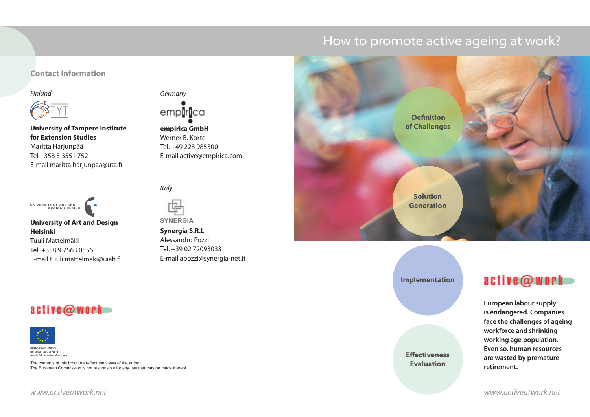# How to promote active ageing at work?

### **Contact information**





**University of Tampere Institute for Extension Studies** Maritta Harjunpää Tel +358 3 3551 7521 E-mail maritta.harjunpaa@uta.fi



**University of Art and Design Helsinki**

Tuuli Mattelmäki Tel. +358 9 7563 0556 E-mail tuuli.mattelmaki@uiah.fi



**empirica GmbH** Werner B. Korte Tel. +49 228 985300 E-mail active@empirica.com

**Italy** 



**SYNERGIA Synergia S.R.L** Alessandro Pozzi Tel. +39 02 72093033 E-mail apozzi@synergia-net.it



**Implementation**

**Effectiveness Evaluation**

## active@work

**European labour supply is endangered. Companies face the challenges of ageing workforce and shrinking working age population. Even so, human resources are wasted by premature retirement.**

## active@work



EUROPEAN UNION European Social Fund Article 6 Innovative Measures

The contents of this brochure reflect the views of the author. The European Commission is not responsible for any use that may be made thereof.

www.activeatwork.net www.activeatwork.net